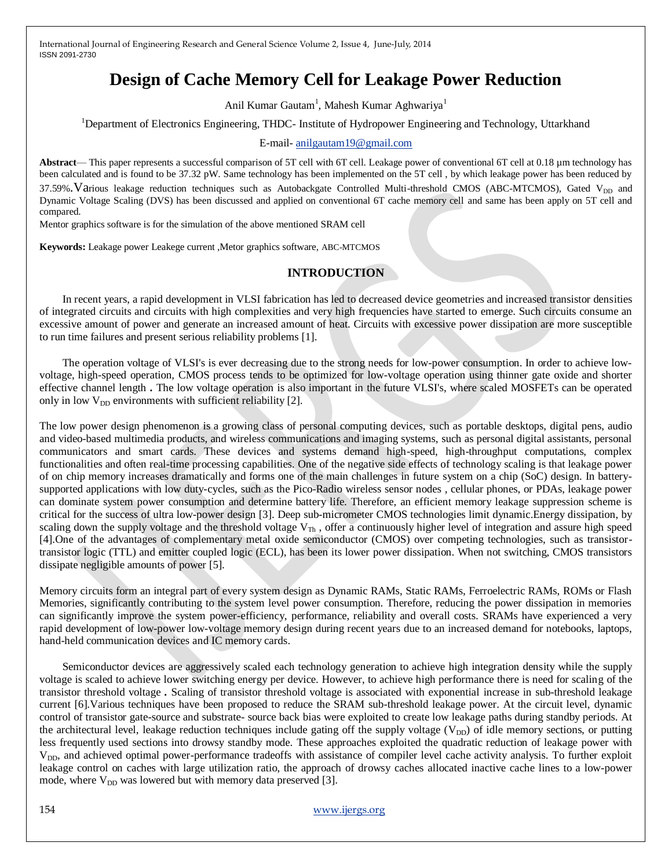# **Design of Cache Memory Cell for Leakage Power Reduction**

Anil Kumar Gautam<sup>1</sup>, Mahesh Kumar Aghwariya<sup>1</sup>

<sup>1</sup>Department of Electronics Engineering, THDC- Institute of Hydropower Engineering and Technology, Uttarkhand

E-mail- [anilgautam19@gmail.com](mailto:anilgautam19@gmail.com)

**Abstract**— This paper represents a successful comparison of 5T cell with 6T cell. Leakage power of conventional 6T cell at 0.18 µm technology has been calculated and is found to be 37.32 pW. Same technology has been implemented on the 5T cell , by which leakage power has been reduced by 37.59%. Various leakage reduction techniques such as Autobackgate Controlled Multi-threshold CMOS (ABC-MTCMOS), Gated V<sub>DD</sub> and Dynamic Voltage Scaling (DVS) has been discussed and applied on conventional 6T cache memory cell and same has been apply on 5T cell and compared.

Mentor graphics software is for the simulation of the above mentioned SRAM cell

**Keywords:** Leakage power Leakege current ,Metor graphics software, ABC-MTCMOS

#### **INTRODUCTION**

In recent years, a rapid development in VLSI fabrication has led to decreased device geometries and increased transistor densities of integrated circuits and circuits with high complexities and very high frequencies have started to emerge. Such circuits consume an excessive amount of power and generate an increased amount of heat. Circuits with excessive power dissipation are more susceptible to run time failures and present serious reliability problems [1].

The operation voltage of VLSI's is ever decreasing due to the strong needs for low-power consumption. In order to achieve lowvoltage, high-speed operation, CMOS process tends to be optimized for low-voltage operation using thinner gate oxide and shorter effective channel length **.** The low voltage operation is also important in the future VLSI's, where scaled MOSFETs can be operated only in low  $V_{DD}$  environments with sufficient reliability [2].

The low power design phenomenon is a growing class of personal computing devices, such as portable desktops, digital pens, audio and video-based multimedia products, and wireless communications and imaging systems, such as personal digital assistants, personal communicators and smart cards. These devices and systems demand high-speed, high-throughput computations, complex functionalities and often real-time processing capabilities. One of the negative side effects of technology scaling is that leakage power of on chip memory increases dramatically and forms one of the main challenges in future system on a chip (SoC) design. In batterysupported applications with low duty-cycles, such as the Pico-Radio wireless sensor nodes , cellular phones, or PDAs, leakage power can dominate system power consumption and determine battery life. Therefore, an efficient memory leakage suppression scheme is critical for the success of ultra low-power design [3]. Deep sub-micrometer CMOS technologies limit dynamic.Energy dissipation, by scaling down the supply voltage and the threshold voltage  $V_{Th}$ , offer a continuously higher level of integration and assure high speed [4].One of the advantages of complementary metal oxide semiconductor (CMOS) over competing technologies, such as transistortransistor logic (TTL) and emitter coupled logic (ECL), has been its lower power dissipation. When not switching, CMOS transistors dissipate negligible amounts of power [5].

Memory circuits form an integral part of every system design as Dynamic RAMs, Static RAMs, Ferroelectric RAMs, ROMs or Flash Memories, significantly contributing to the system level power consumption. Therefore, reducing the power dissipation in memories can significantly improve the system power-efficiency, performance, reliability and overall costs. SRAMs have experienced a very rapid development of low-power low-voltage memory design during recent years due to an increased demand for notebooks, laptops, hand-held communication devices and IC memory cards.

Semiconductor devices are aggressively scaled each technology generation to achieve high integration density while the supply voltage is scaled to achieve lower switching energy per device. However, to achieve high performance there is need for scaling of the transistor threshold voltage *.* Scaling of transistor threshold voltage is associated with exponential increase in sub-threshold leakage current [6].Various techniques have been proposed to reduce the SRAM sub-threshold leakage power. At the circuit level, dynamic control of transistor gate-source and substrate- source back bias were exploited to create low leakage paths during standby periods. At the architectural level, leakage reduction techniques include gating off the supply voltage ( $V_{DD}$ ) of idle memory sections, or putting less frequently used sections into drowsy standby mode. These approaches exploited the quadratic reduction of leakage power with V<sub>DD</sub>, and achieved optimal power-performance tradeoffs with assistance of compiler level cache activity analysis. To further exploit leakage control on caches with large utilization ratio, the approach of drowsy caches allocated inactive cache lines to a low-power mode, where  $V_{DD}$  was lowered but with memory data preserved [3].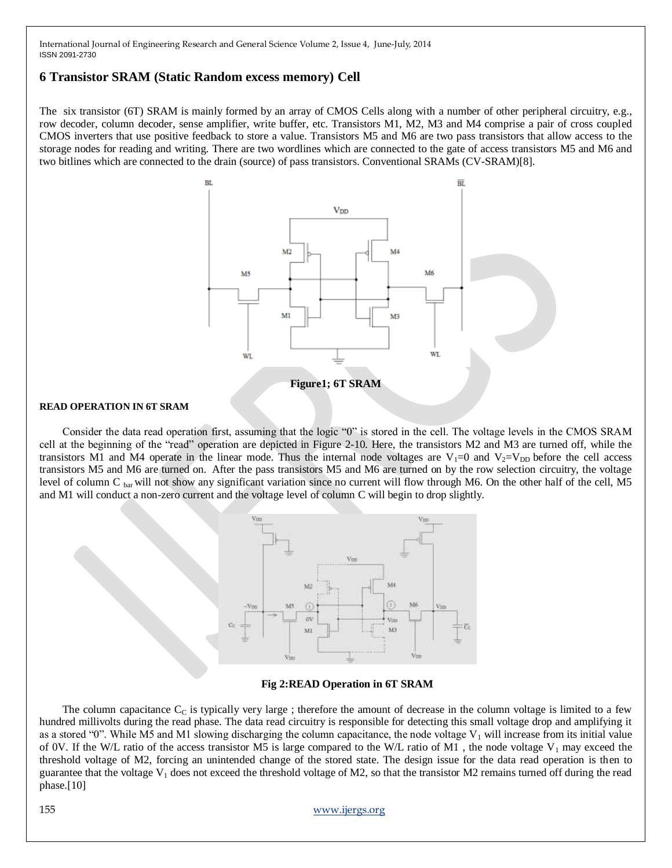# **6 Transistor SRAM (Static Random excess memory) Cell**

The six transistor (6T) SRAM is mainly formed by an array of CMOS Cells along with a number of other peripheral circuitry, e.g., row decoder, column decoder, sense amplifier, write buffer, etc. Transistors M1, M2, M3 and M4 comprise a pair of cross coupled CMOS inverters that use positive feedback to store a value. Transistors M5 and M6 are two pass transistors that allow access to the storage nodes for reading and writing. There are two wordlines which are connected to the gate of access transistors M5 and M6 and two bitlines which are connected to the drain (source) of pass transistors. Conventional SRAMs (CV-SRAM)[8].



#### **READ OPERATION IN 6T SRAM**

Consider the data read operation first, assuming that the logic "0" is stored in the cell. The voltage levels in the CMOS SRAM cell at the beginning of the "read" operation are depicted in Figure 2-10. Here, the transistors M2 and M3 are turned off, while the transistors M1 and M4 operate in the linear mode. Thus the internal node voltages are  $V_1=0$  and  $V_2=V_{DD}$  before the cell access transistors M5 and M6 are turned on. After the pass transistors M5 and M6 are turned on by the row selection circuitry, the voltage level of column C bar will not show any significant variation since no current will flow through M6. On the other half of the cell, M5 and M1 will conduct a non-zero current and the voltage level of column C will begin to drop slightly.



**Fig 2:READ Operation in 6T SRAM**

The column capacitance  $C_C$  is typically very large ; therefore the amount of decrease in the column voltage is limited to a few hundred millivolts during the read phase. The data read circuitry is responsible for detecting this small voltage drop and amplifying it as a stored "0". While M5 and M1 slowing discharging the column capacitance, the node voltage  $V_1$  will increase from its initial value of 0V. If the W/L ratio of the access transistor M5 is large compared to the W/L ratio of M1, the node voltage V<sub>1</sub> may exceed the threshold voltage of M2, forcing an unintended change of the stored state. The design issue for the data read operation is then to guarantee that the voltage  $V_1$  does not exceed the threshold voltage of M2, so that the transistor M2 remains turned off during the read phase.[10]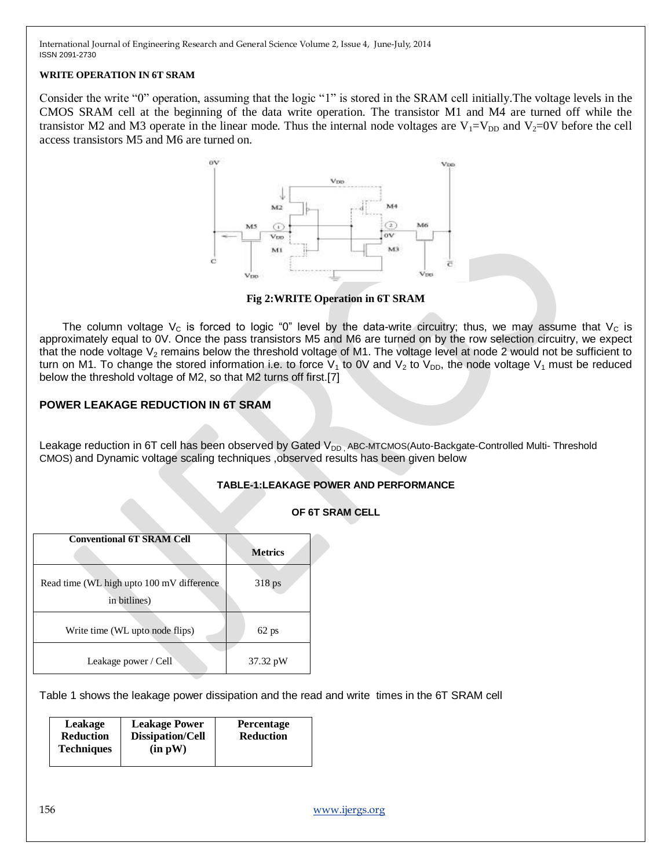#### **WRITE OPERATION IN 6T SRAM**

Consider the write "0" operation, assuming that the logic "1" is stored in the SRAM cell initially. The voltage levels in the CMOS SRAM cell at the beginning of the data write operation. The transistor M1 and M4 are turned off while the transistor M2 and M3 operate in the linear mode. Thus the internal node voltages are  $V_1=V_{DD}$  and  $V_2=0V$  before the cell access transistors M5 and M6 are turned on.



**Fig 2:WRITE Operation in 6T SRAM**

The column voltage  $V_c$  is forced to logic "0" level by the data-write circuitry; thus, we may assume that  $V_c$  is approximately equal to 0V. Once the pass transistors M5 and M6 are turned on by the row selection circuitry, we expect that the node voltage  $V_2$  remains below the threshold voltage of M1. The voltage level at node 2 would not be sufficient to turn on M1. To change the stored information i.e. to force  $V_1$  to 0V and  $V_2$  to  $V_{DD}$ , the node voltage  $V_1$  must be reduced below the threshold voltage of M2, so that M2 turns off first.[7]

# **POWER LEAKAGE REDUCTION IN 6T SRAM**

Leakage reduction in 6T cell has been observed by Gated  $V_{DD}$ , ABC-MTCMOS(Auto-Backgate-Controlled Multi- Threshold CMOS) and Dynamic voltage scaling techniques ,observed results has been given below

# **TABLE-1:LEAKAGE POWER AND PERFORMANCE**

|  |  |  | OF 6T SRAM CELL |  |
|--|--|--|-----------------|--|
|--|--|--|-----------------|--|

| <b>Conventional 6T SRAM Cell</b>                           | <b>Metrics</b> |
|------------------------------------------------------------|----------------|
| Read time (WL high upto 100 mV difference)<br>in bitlines) | $318$ ps       |
| Write time (WL upto node flips)                            | $62$ ps        |
| Leakage power / Cell                                       | 37.32 pW       |

Table 1 shows the leakage power dissipation and the read and write times in the 6T SRAM cell

| Leakage<br><b>Reduction</b><br><b>Techniques</b> | <b>Leakage Power</b><br><b>Dissipation/Cell</b><br>(in pW) | <b>Percentage</b><br><b>Reduction</b> |
|--------------------------------------------------|------------------------------------------------------------|---------------------------------------|
|                                                  |                                                            |                                       |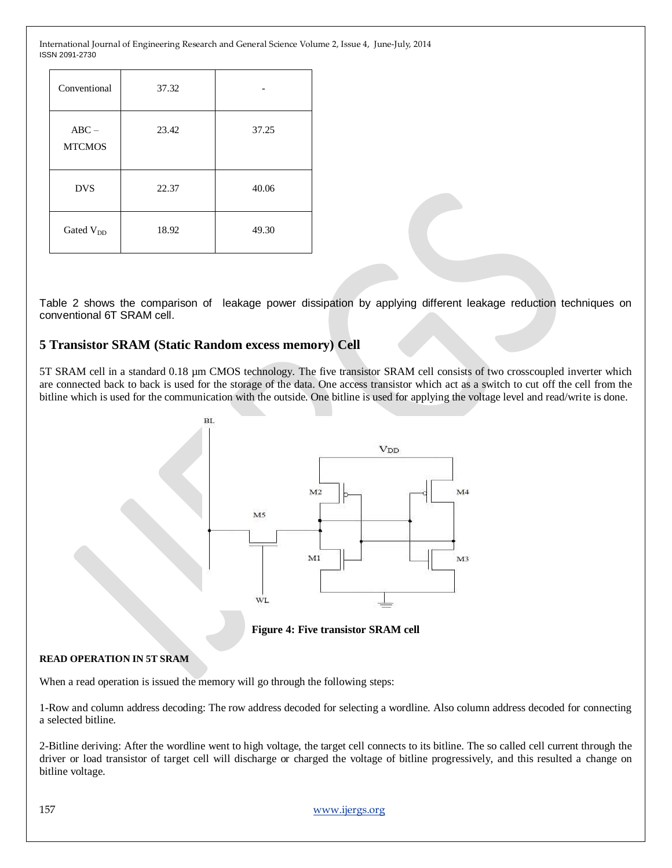| Conventional             | 37.32 |       |
|--------------------------|-------|-------|
| $ABC -$<br><b>MTCMOS</b> | 23.42 | 37.25 |
| <b>DVS</b>               | 22.37 | 40.06 |
| Gated V <sub>DD</sub>    | 18.92 | 49.30 |

Table 2 shows the comparison of leakage power dissipation by applying different leakage reduction techniques on conventional 6T SRAM cell.

# **5 Transistor SRAM (Static Random excess memory) Cell**

5T SRAM cell in a standard 0.18 µm CMOS technology. The five transistor SRAM cell consists of two crosscoupled inverter which are connected back to back is used for the storage of the data. One access transistor which act as a switch to cut off the cell from the bitline which is used for the communication with the outside. One bitline is used for applying the voltage level and read/write is done.



**Figure 4: Five transistor SRAM cell**

#### **READ OPERATION IN 5T SRAM**

When a read operation is issued the memory will go through the following steps:

1-Row and column address decoding: The row address decoded for selecting a wordline. Also column address decoded for connecting a selected bitline.

2-Bitline deriving: After the wordline went to high voltage, the target cell connects to its bitline. The so called cell current through the driver or load transistor of target cell will discharge or charged the voltage of bitline progressively, and this resulted a change on bitline voltage.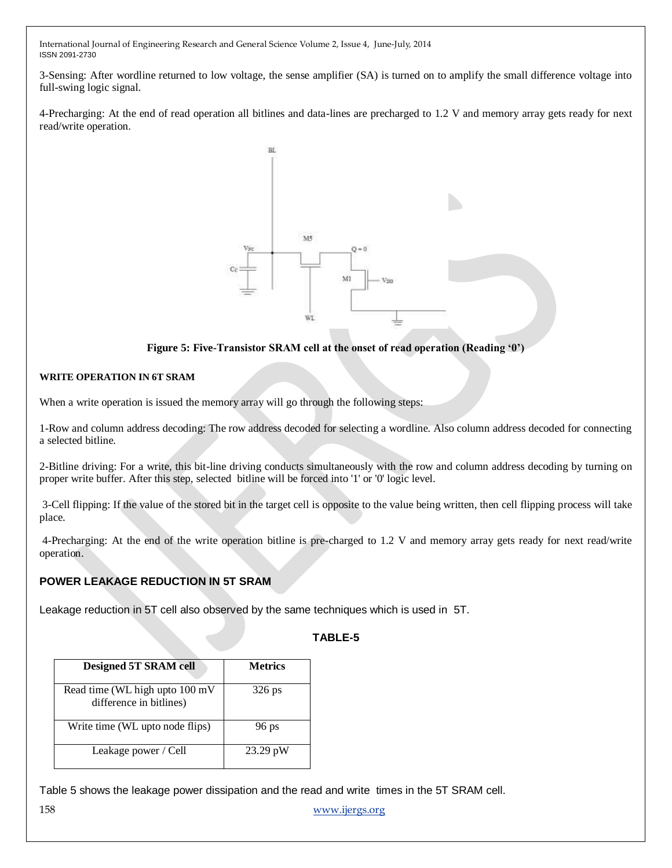3-Sensing: After wordline returned to low voltage, the sense amplifier (SA) is turned on to amplify the small difference voltage into full-swing logic signal.

4-Precharging: At the end of read operation all bitlines and data-lines are precharged to 1.2 V and memory array gets ready for next read/write operation.



#### **Figure 5: Five-Transistor SRAM cell at the onset of read operation (Reading '0')**

#### **WRITE OPERATION IN 6T SRAM**

When a write operation is issued the memory array will go through the following steps:

1-Row and column address decoding: The row address decoded for selecting a wordline. Also column address decoded for connecting a selected bitline.

2-Bitline driving: For a write, this bit-line driving conducts simultaneously with the row and column address decoding by turning on proper write buffer. After this step, selected bitline will be forced into '1' or '0' logic level.

3-Cell flipping: If the value of the stored bit in the target cell is opposite to the value being written, then cell flipping process will take place.

4-Precharging: At the end of the write operation bitline is pre-charged to 1.2 V and memory array gets ready for next read/write operation.

# **POWER LEAKAGE REDUCTION IN 5T SRAM**

Leakage reduction in 5T cell also observed by the same techniques which is used in 5T.

#### **TABLE-5**

| <b>Designed 5T SRAM cell</b>                              | <b>Metrics</b> |
|-----------------------------------------------------------|----------------|
| Read time (WL high upto 100 mV<br>difference in bitlines) | $326$ ps       |
| Write time (WL upto node flips)                           | $96$ ps        |
| Leakage power / Cell                                      | 23.29 pW       |

Table 5 shows the leakage power dissipation and the read and write times in the 5T SRAM cell.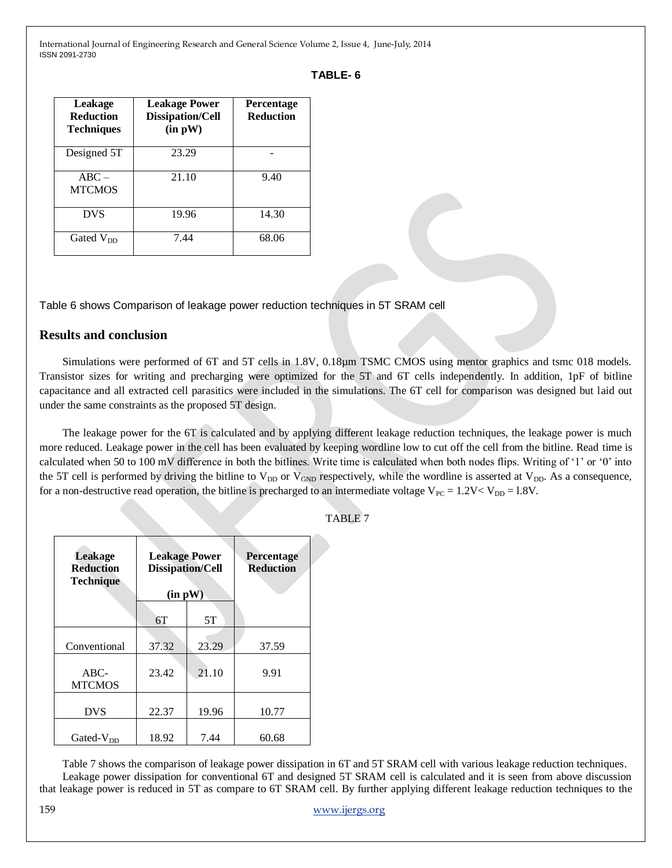# **TABLE- 6**

| Leakage<br><b>Reduction</b><br><b>Techniques</b> | <b>Leakage Power</b><br><b>Dissipation/Cell</b><br>(in pW) | Percentage<br><b>Reduction</b> |  |
|--------------------------------------------------|------------------------------------------------------------|--------------------------------|--|
| Designed 5T                                      | 23.29                                                      |                                |  |
| $ABC -$<br><b>MTCMOS</b>                         | 21.10                                                      | 9.40                           |  |
| <b>DVS</b>                                       | 19.96                                                      | 14.30                          |  |
| Gated V <sub>DD</sub>                            | 7.44                                                       |                                |  |

Table 6 shows Comparison of leakage power reduction techniques in 5T SRAM cell

# **Results and conclusion**

Simulations were performed of 6T and 5T cells in 1.8V, 0.18µm TSMC CMOS using mentor graphics and tsmc 018 models. Transistor sizes for writing and precharging were optimized for the 5T and 6T cells independently. In addition, 1pF of bitline capacitance and all extracted cell parasitics were included in the simulations. The 6T cell for comparison was designed but laid out under the same constraints as the proposed 5T design.

The leakage power for the 6T is calculated and by applying different leakage reduction techniques, the leakage power is much more reduced. Leakage power in the cell has been evaluated by keeping wordline low to cut off the cell from the bitline. Read time is calculated when 50 to 100 mV difference in both the bitlines. Write time is calculated when both nodes flips. Writing of  $1'$  or  $0'$  into the 5T cell is performed by driving the bitline to  $V_{DD}$  or  $V_{GND}$  respectively, while the wordline is asserted at  $V_{DD}$ . As a consequence, for a non-destructive read operation, the bitline is precharged to an intermediate voltage  $V_{PC} = 1.2V < V_{DD} = 1.8V$ .

| Leakage<br><b>Reduction</b><br><b>Technique</b> | <b>Leakage Power</b><br><b>Dissipation/Cell</b><br>(in pW) |       | Percentage<br><b>Reduction</b> |
|-------------------------------------------------|------------------------------------------------------------|-------|--------------------------------|
|                                                 | 6T                                                         | 5T    |                                |
| Conventional                                    | 37.32                                                      | 23.29 | 37.59                          |
| $ABC$ -<br><b>MTCMOS</b>                        | 23.42                                                      | 21.10 | 9.91                           |
| <b>DVS</b>                                      | 22.37                                                      | 19.96 | 10.77                          |
| Gated- $V_{DD}$                                 | 18.92                                                      | 7.44  | 60.68                          |

TABLE 7

Table 7 shows the comparison of leakage power dissipation in 6T and 5T SRAM cell with various leakage reduction techniques. Leakage power dissipation for conventional 6T and designed 5T SRAM cell is calculated and it is seen from above discussion that leakage power is reduced in 5T as compare to 6T SRAM cell. By further applying different leakage reduction techniques to the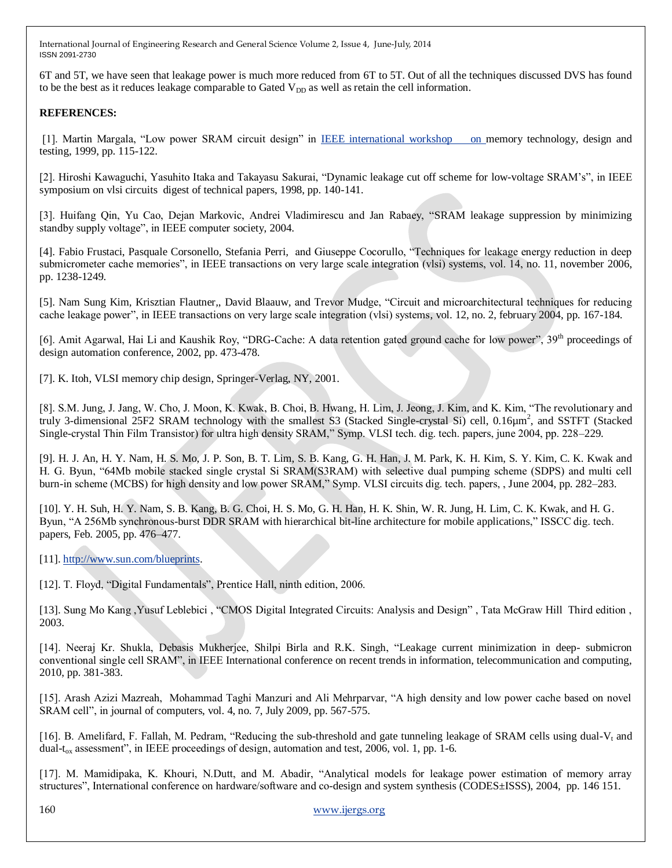6T and 5T, we have seen that leakage power is much more reduced from 6T to 5T. Out of all the techniques discussed DVS has found to be the best as it reduces leakage comparable to Gated V<sub>DD</sub> as well as retain the cell information.

# **REFERENCES:**

[1]. Martin Margala, "Low power SRAM circuit design" in [IEEE international workshop on m](http://www.ieeexplore.ieee.org/xpl/mostRecentIssue.jsp?punumber=6351)emory technology, design and testing, 1999, pp. 115-122.

[2]. Hiroshi Kawaguchi, Yasuhito Itaka and Takayasu Sakurai, "Dynamic leakage cut off scheme for low-voltage SRAM's", in IEEE symposium on vlsi circuits digest of technical papers, 1998, pp. 140-141.

[3]. Huifang Qin, Yu Cao, Dejan Markovic, Andrei Vladimirescu and Jan Rabaey, "SRAM leakage suppression by minimizing standby supply voltage", in IEEE computer society, 2004.

[4]. Fabio Frustaci, Pasquale Corsonello, Stefania Perri, and Giuseppe Cocorullo, "Techniques for leakage energy reduction in deep submicrometer cache memories", in IEEE transactions on very large scale integration (vlsi) systems, vol. 14, no. 11, november 2006, pp. 1238-1249.

[5]. Nam Sung Kim, Krisztian Flautner,, David Blaauw, and Trevor Mudge, "Circuit and microarchitectural techniques for reducing cache leakage power", in IEEE transactions on very large scale integration (vlsi) systems, vol. 12, no. 2, february 2004, pp. 167-184.

[6]. Amit Agarwal, Hai Li and Kaushik Roy, "DRG-Cache: A data retention gated ground cache for low power",  $39<sup>th</sup>$  proceedings of design automation conference, 2002, pp. 473-478.

[7]. K. Itoh, VLSI memory chip design, Springer-Verlag, NY, 2001.

[8]. S.M. Jung, J. Jang, W. Cho, J. Moon, K. Kwak, B. Choi, B. Hwang, H. Lim, J. Jeong, J. Kim, and K. Kim, "The revolutionary and truly 3-dimensional 25F2 SRAM technology with the smallest S3 (Stacked Single-crystal Si) cell, 0.16µm<sup>2</sup> , and SSTFT (Stacked Single-crystal Thin Film Transistor) for ultra high density SRAM," Symp. VLSI tech. dig. tech. papers, june 2004, pp. 228–229.

[9]. H. J. An, H. Y. Nam, H. S. Mo, J. P. Son, B. T. Lim, S. B. Kang, G. H. Han, J. M. Park, K. H. Kim, S. Y. Kim, C. K. Kwak and H. G. Byun, "64Mb mobile stacked single crystal Si SRAM(S3RAM) with selective dual pumping scheme (SDPS) and multi cell burn-in scheme (MCBS) for high density and low power SRAM," Symp. VLSI circuits dig. tech. papers, , June 2004, pp. 282–283.

[10]. Y. H. Suh, H. Y. Nam, S. B. Kang, B. G. Choi, H. S. Mo, G. H. Han, H. K. Shin, W. R. Jung, H. Lim, C. K. Kwak, and H. G. Byun, "A 256Mb synchronous-burst DDR SRAM with hierarchical bit-line architecture for mobile applications," ISSCC dig. tech. papers, Feb. 2005, pp. 476–477.

[11][. http://www.sun.com/blueprints.](http://www.sun.com/blueprints)

[12]. T. Floyd, "Digital Fundamentals", Prentice Hall, ninth edition, 2006.

[13]. Sung Mo Kang ,Yusuf Leblebici , "CMOS Digital Integrated Circuits: Analysis and Design", Tata McGraw Hill Third edition, 2003.

[14]. Neeraj Kr. Shukla, Debasis Mukherjee, Shilpi Birla and R.K. Singh, "Leakage current minimization in deep- submicron conventional single cell SRAM", in IEEE International conference on recent trends in information, telecommunication and computing, 2010, pp. 381-383.

[15]. Arash Azizi Mazreah, Mohammad Taghi Manzuri and Ali Mehrparvar, "A high density and low power cache based on novel SRAM cell", in journal of computers, vol. 4, no. 7, July 2009, pp. 567-575.

[16]. B. Amelifard, F. Fallah, M. Pedram, "Reducing the sub-threshold and gate tunneling leakage of SRAM cells using dual-V<sub>t</sub> and dual-t<sub>ox</sub> assessment", in IEEE proceedings of design, automation and test, 2006, vol. 1, pp. 1-6.

[17]. M. Mamidipaka, K. Khouri, N.Dutt, and M. Abadir, "Analytical models for leakage power estimation of memory array structures", International conference on hardware/software and co-design and system synthesis (CODES±ISSS), 2004, pp. 146 151.